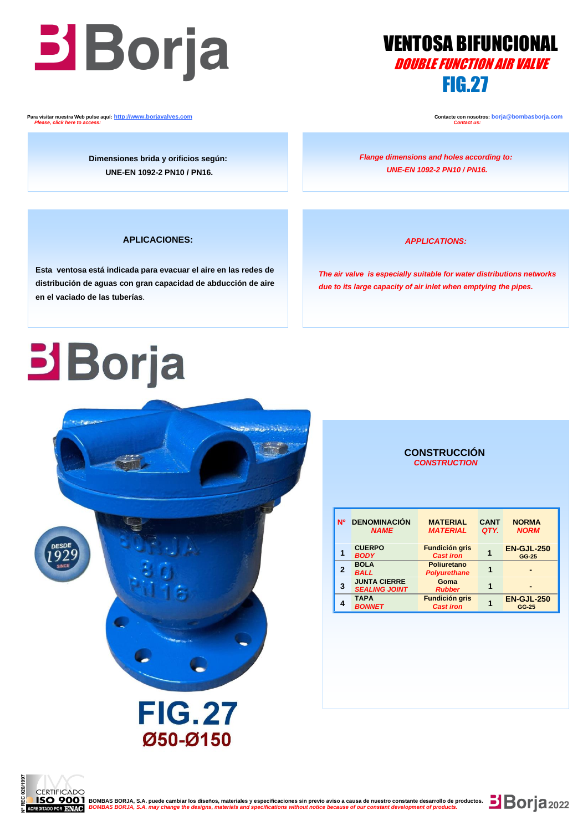## $\overline{a}$ **DOUBLE FUNCTION AIR VALVE**

**IRAFia** VENTOSA BIFUNCIONAL FIG.27

 **Para visitar nuestra Web pulse aquí: [http://www.borjavalves.com](http://www.borjavalves.com/) Contacte con nosotros: borja@bombasborja.com**  *Please, click here to access: Contact us:*

**Dimensiones brida y orificios según: UNE-EN 1092-2 PN10 / PN16.**

*Flange dimensions and holes according to: UNE-EN 1092-2 PN10 / PN16.*

### **APLICACIONES:**

 **en el vaciado de las tuberías**. **Esta ventosa está indicada para evacuar el aire en las redes de distribución de aguas con gran capacidad de abducción de aire** 

### *APPLICATIONS:*

 *The air valve is especially suitable for water distributions networks due to its large capacity of air inlet when emptying the pipes.*

# **Borja**



### **CONSTRUCCIÓN**  *CONSTRUCTION*

| <b>N°</b> | <b>DENOMINACIÓN</b><br><b>NAME</b>          | <b>MATERIAL</b><br><b>MATERIAL</b>        | <b>CANT</b><br>QTY. | <b>NORMA</b><br><b>NORM</b> |
|-----------|---------------------------------------------|-------------------------------------------|---------------------|-----------------------------|
|           | <b>CUERPO</b><br><b>BODY</b>                | <b>Fundición gris</b><br><b>Cast iron</b> |                     | <b>EN-GJL-250</b><br>GG-25  |
| 2         | <b>BOLA</b><br><b>BALL</b>                  | Poliuretano<br><b>Polyurethane</b>        |                     |                             |
| 3         | <b>JUNTA CIERRE</b><br><b>SEALING JOINT</b> | Goma<br><b>Rubber</b>                     |                     |                             |
|           | <b>TAPA</b><br><b>BONNET</b>                | <b>Fundición gris</b><br><b>Cast iron</b> |                     | <b>EN-GJL-250</b><br>GG-25  |